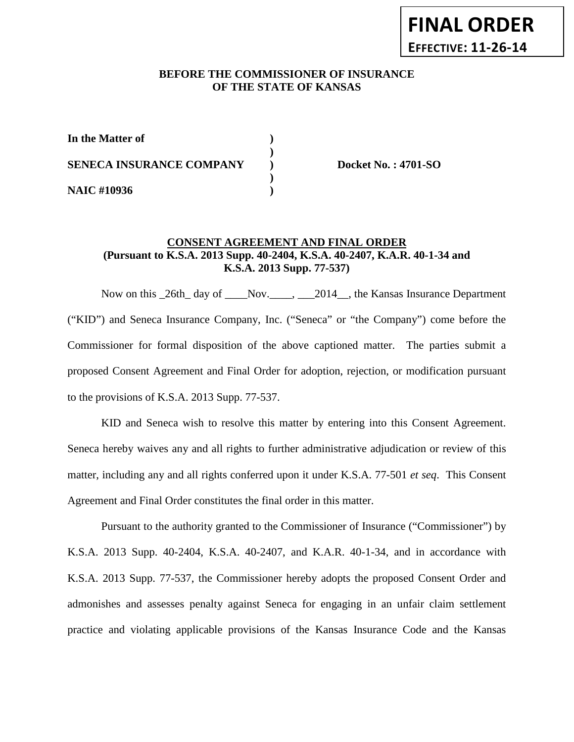# **BEFORE THE COMMISSIONER OF INSURANCE OF THE STATE OF KANSAS**

| In the Matter of                |  |
|---------------------------------|--|
| <b>SENECA INSURANCE COMPANY</b> |  |
| <b>NAIC #10936</b>              |  |

**SENECA INSURANCE COMPANY ) Docket No. : 4701-SO**

## **CONSENT AGREEMENT AND FINAL ORDER (Pursuant to K.S.A. 2013 Supp. 40-2404, K.S.A. 40-2407, K.A.R. 40-1-34 and K.S.A. 2013 Supp. 77-537)**

Now on this \_26th\_ day of \_\_\_\_Nov.\_\_\_\_, \_\_\_2014\_\_, the Kansas Insurance Department ("KID") and Seneca Insurance Company, Inc. ("Seneca" or "the Company") come before the Commissioner for formal disposition of the above captioned matter. The parties submit a proposed Consent Agreement and Final Order for adoption, rejection, or modification pursuant to the provisions of K.S.A. 2013 Supp. 77-537.

KID and Seneca wish to resolve this matter by entering into this Consent Agreement. Seneca hereby waives any and all rights to further administrative adjudication or review of this matter, including any and all rights conferred upon it under K.S.A. 77-501 *et seq*. This Consent Agreement and Final Order constitutes the final order in this matter.

Pursuant to the authority granted to the Commissioner of Insurance ("Commissioner") by K.S.A. 2013 Supp. 40-2404, K.S.A. 40-2407, and K.A.R. 40-1-34, and in accordance with K.S.A. 2013 Supp. 77-537, the Commissioner hereby adopts the proposed Consent Order and admonishes and assesses penalty against Seneca for engaging in an unfair claim settlement practice and violating applicable provisions of the Kansas Insurance Code and the Kansas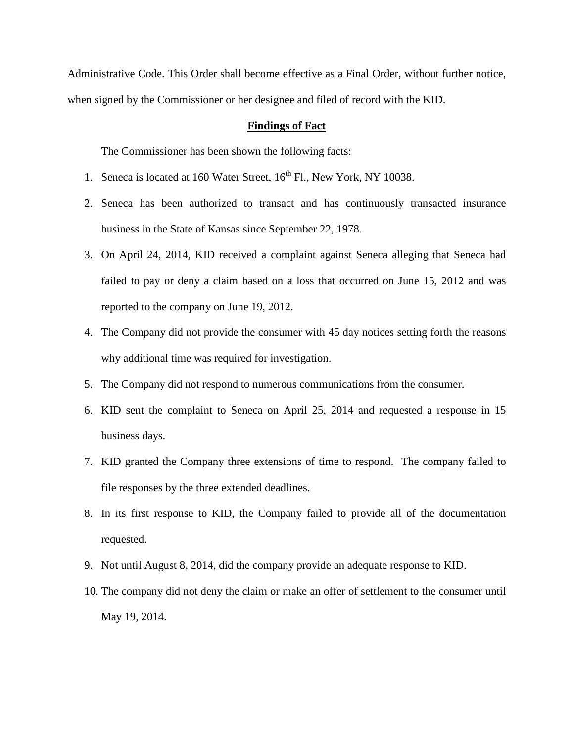Administrative Code. This Order shall become effective as a Final Order, without further notice, when signed by the Commissioner or her designee and filed of record with the KID.

## **Findings of Fact**

The Commissioner has been shown the following facts:

- 1. Seneca is located at 160 Water Street,  $16^{th}$  Fl., New York, NY 10038.
- 2. Seneca has been authorized to transact and has continuously transacted insurance business in the State of Kansas since September 22, 1978.
- 3. On April 24, 2014, KID received a complaint against Seneca alleging that Seneca had failed to pay or deny a claim based on a loss that occurred on June 15, 2012 and was reported to the company on June 19, 2012.
- 4. The Company did not provide the consumer with 45 day notices setting forth the reasons why additional time was required for investigation.
- 5. The Company did not respond to numerous communications from the consumer.
- 6. KID sent the complaint to Seneca on April 25, 2014 and requested a response in 15 business days.
- 7. KID granted the Company three extensions of time to respond. The company failed to file responses by the three extended deadlines.
- 8. In its first response to KID, the Company failed to provide all of the documentation requested.
- 9. Not until August 8, 2014, did the company provide an adequate response to KID.
- 10. The company did not deny the claim or make an offer of settlement to the consumer until May 19, 2014.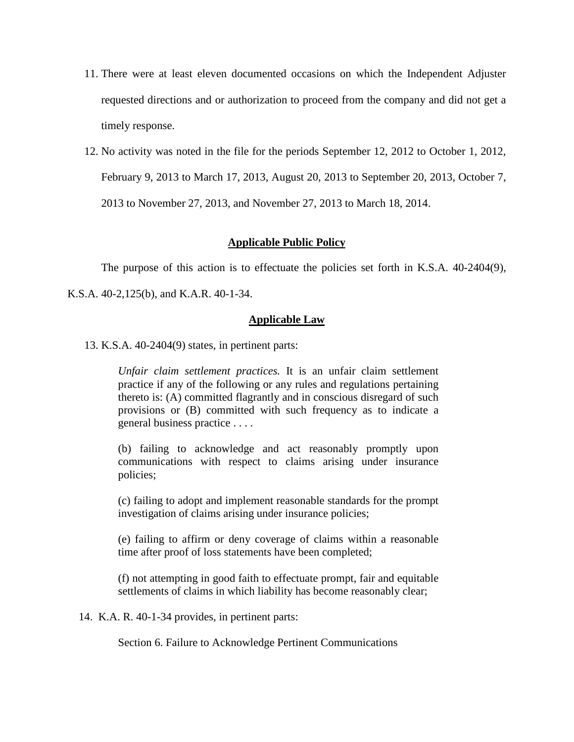- 11. There were at least eleven documented occasions on which the Independent Adjuster requested directions and or authorization to proceed from the company and did not get a timely response.
- 12. No activity was noted in the file for the periods September 12, 2012 to October 1, 2012, February 9, 2013 to March 17, 2013, August 20, 2013 to September 20, 2013, October 7, 2013 to November 27, 2013, and November 27, 2013 to March 18, 2014.

## **Applicable Public Policy**

The purpose of this action is to effectuate the policies set forth in K.S.A. 40-2404(9),

K.S.A. 40-2,125(b), and K.A.R. 40-1-34.

#### **Applicable Law**

13. K.S.A. 40-2404(9) states, in pertinent parts:

*Unfair claim settlement practices.* It is an unfair claim settlement practice if any of the following or any rules and regulations pertaining thereto is: (A) committed flagrantly and in conscious disregard of such provisions or (B) committed with such frequency as to indicate a general business practice . . . .

(b) failing to acknowledge and act reasonably promptly upon communications with respect to claims arising under insurance policies;

(c) failing to adopt and implement reasonable standards for the prompt investigation of claims arising under insurance policies;

(e) failing to affirm or deny coverage of claims within a reasonable time after proof of loss statements have been completed;

(f) not attempting in good faith to effectuate prompt, fair and equitable settlements of claims in which liability has become reasonably clear;

14. K.A. R. 40-1-34 provides, in pertinent parts:

Section 6. Failure to Acknowledge Pertinent Communications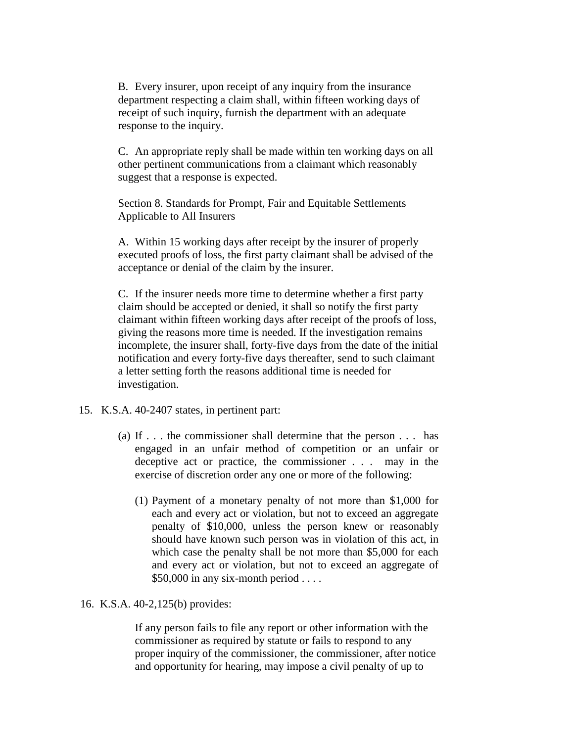B. Every insurer, upon receipt of any inquiry from the insurance department respecting a claim shall, within fifteen working days of receipt of such inquiry, furnish the department with an adequate response to the inquiry.

C. An appropriate reply shall be made within ten working days on all other pertinent communications from a claimant which reasonably suggest that a response is expected.

Section 8. Standards for Prompt, Fair and Equitable Settlements Applicable to All Insurers

A. Within 15 working days after receipt by the insurer of properly executed proofs of loss, the first party claimant shall be advised of the acceptance or denial of the claim by the insurer.

C. If the insurer needs more time to determine whether a first party claim should be accepted or denied, it shall so notify the first party claimant within fifteen working days after receipt of the proofs of loss, giving the reasons more time is needed. If the investigation remains incomplete, the insurer shall, forty-five days from the date of the initial notification and every forty-five days thereafter, send to such claimant a letter setting forth the reasons additional time is needed for investigation.

- 15. K.S.A. 40-2407 states, in pertinent part:
	- (a) If . . . the commissioner shall determine that the person . . . has engaged in an unfair method of competition or an unfair or deceptive act or practice, the commissioner . . . may in the exercise of discretion order any one or more of the following:
		- (1) Payment of a monetary penalty of not more than \$1,000 for each and every act or violation, but not to exceed an aggregate penalty of \$10,000, unless the person knew or reasonably should have known such person was in violation of this act, in which case the penalty shall be not more than \$5,000 for each and every act or violation, but not to exceed an aggregate of \$50,000 in any six-month period . . . .
- 16. K.S.A. 40-2,125(b) provides:

If any person fails to file any report or other information with the commissioner as required by statute or fails to respond to any proper inquiry of the commissioner, the commissioner, after notice and opportunity for hearing, may impose a civil penalty of up to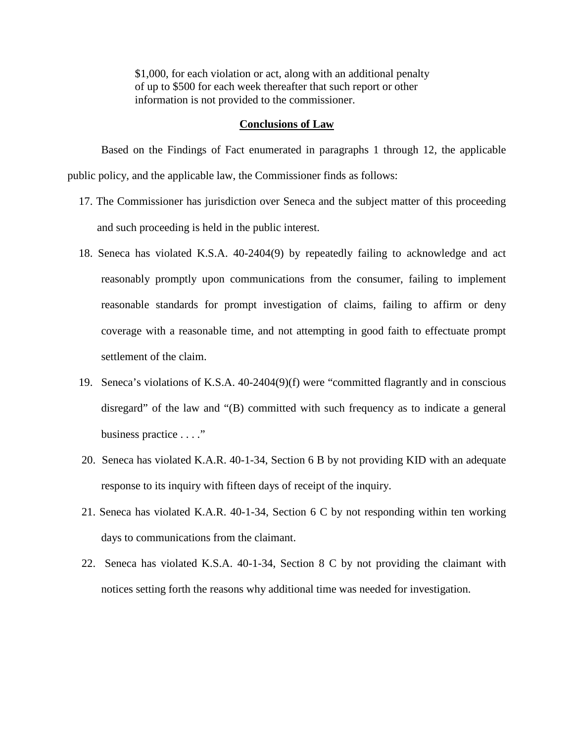\$1,000, for each violation or act, along with an additional penalty of up to \$500 for each week thereafter that such report or other information is not provided to the commissioner.

### **Conclusions of Law**

Based on the Findings of Fact enumerated in paragraphs 1 through 12, the applicable public policy, and the applicable law, the Commissioner finds as follows:

- 17. The Commissioner has jurisdiction over Seneca and the subject matter of this proceeding and such proceeding is held in the public interest.
- 18. Seneca has violated K.S.A. 40-2404(9) by repeatedly failing to acknowledge and act reasonably promptly upon communications from the consumer, failing to implement reasonable standards for prompt investigation of claims, failing to affirm or deny coverage with a reasonable time, and not attempting in good faith to effectuate prompt settlement of the claim.
- 19. Seneca's violations of K.S.A. 40-2404(9)(f) were "committed flagrantly and in conscious disregard" of the law and "(B) committed with such frequency as to indicate a general business practice . . . ."
- 20. Seneca has violated K.A.R. 40-1-34, Section 6 B by not providing KID with an adequate response to its inquiry with fifteen days of receipt of the inquiry.
- 21. Seneca has violated K.A.R. 40-1-34, Section 6 C by not responding within ten working days to communications from the claimant.
- 22. Seneca has violated K.S.A. 40-1-34, Section 8 C by not providing the claimant with notices setting forth the reasons why additional time was needed for investigation.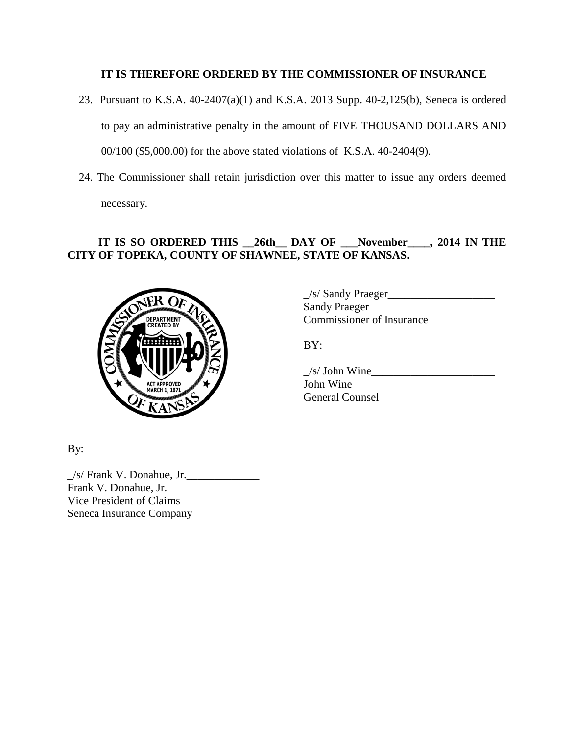# **IT IS THEREFORE ORDERED BY THE COMMISSIONER OF INSURANCE**

- 23. Pursuant to K.S.A. 40-2407(a)(1) and K.S.A. 2013 Supp. 40-2,125(b), Seneca is ordered to pay an administrative penalty in the amount of FIVE THOUSAND DOLLARS AND 00/100 (\$5,000.00) for the above stated violations of K.S.A. 40-2404(9).
- 24. The Commissioner shall retain jurisdiction over this matter to issue any orders deemed necessary.

# **IT IS SO ORDERED THIS \_\_26th\_\_ DAY OF \_\_\_November\_\_\_\_, 2014 IN THE CITY OF TOPEKA, COUNTY OF SHAWNEE, STATE OF KANSAS.**



 $\angle$ s/ Sandy Praeger $\angle$ Sandy Praeger Commissioner of Insurance

BY:

 $\angle$ s/ John Wine John Wine General Counsel

By:

 $/s$ / Frank V. Donahue, Jr. Frank V. Donahue, Jr. Vice President of Claims Seneca Insurance Company